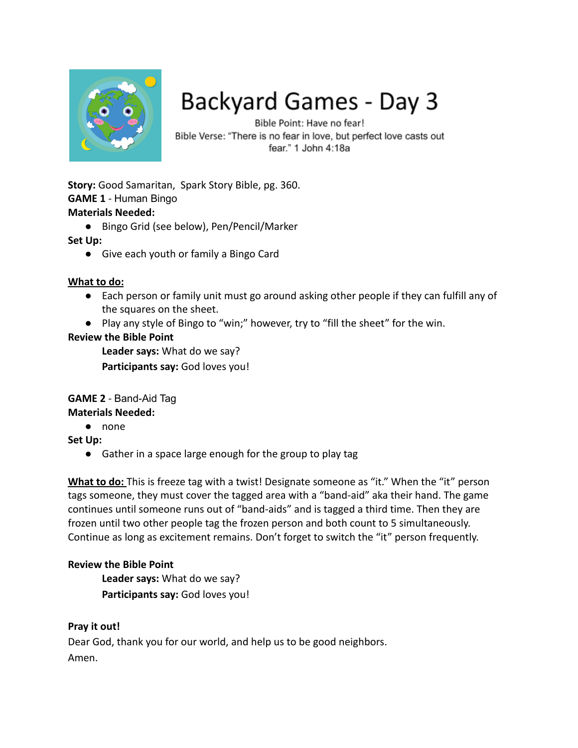

# Backyard Games - Day 3

Bible Point: Have no fear! Bible Verse: "There is no fear in love, but perfect love casts out fear." 1 John 4:18a

**Story:** Good Samaritan, Spark Story Bible, pg. 360. **GAME 1** - Human Bingo **Materials Needed:**

● Bingo Grid (see below), Pen/Pencil/Marker

# **Set Up:**

● Give each youth or family a Bingo Card

### **What to do:**

- Each person or family unit must go around asking other people if they can fulfill any of the squares on the sheet.
- Play any style of Bingo to "win;" however, try to "fill the sheet" for the win.

# **Review the Bible Point**

**Leader says:** What do we say?

**Participants say:** God loves you!

#### **GAME 2** - Band-Aid Tag **Materials Needed:**

# ● none

**Set Up:**

● Gather in a space large enough for the group to play tag

**What to do:** This is freeze tag with a twist! Designate someone as "it." When the "it" person tags someone, they must cover the tagged area with a "band-aid" aka their hand. The game continues until someone runs out of "band-aids" and is tagged a third time. Then they are frozen until two other people tag the frozen person and both count to 5 simultaneously. Continue as long as excitement remains. Don't forget to switch the "it" person frequently.

# **Review the Bible Point**

**Leader says:** What do we say? **Participants say:** God loves you!

# **Pray it out!**

Dear God, thank you for our world, and help us to be good neighbors. Amen.